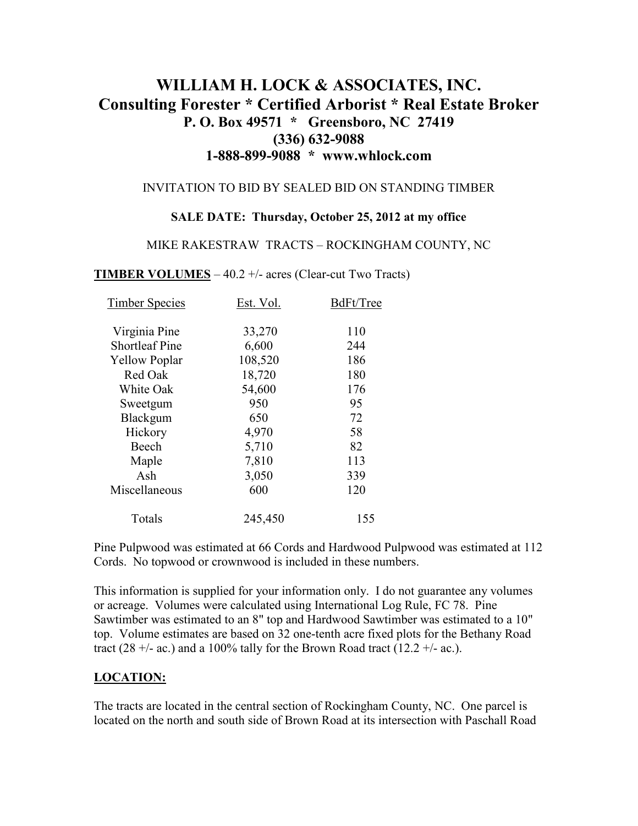# **WILLIAM H. LOCK & ASSOCIATES, INC. Consulting Forester \* Certified Arborist \* Real Estate Broker P. O. Box 49571 \* Greensboro, NC 27419 (336) 632-9088 1-888-899-9088 \* www.whlock.com**

#### INVITATION TO BID BY SEALED BID ON STANDING TIMBER

#### **SALE DATE: Thursday, October 25, 2012 at my office**

#### MIKE RAKESTRAW TRACTS – ROCKINGHAM COUNTY, NC

**TIMBER VOLUMES** – 40.2 +/- acres (Clear-cut Two Tracts)

| <b>Timber Species</b> | Est. Vol. | BdFt/Tree |
|-----------------------|-----------|-----------|
| Virginia Pine         | 33,270    | 110       |
| <b>Shortleaf Pine</b> | 6,600     | 244       |
| <b>Yellow Poplar</b>  | 108,520   | 186       |
| Red Oak               | 18,720    | 180       |
| White Oak             | 54,600    | 176       |
| Sweetgum              | 950       | 95        |
| Blackgum              | 650       | 72        |
| Hickory               | 4,970     | 58        |
| Beech                 | 5,710     | 82        |
| Maple                 | 7,810     | 113       |
| Ash                   | 3,050     | 339       |
| Miscellaneous         | 600       | 120       |
| Totals                | 245,450   | 155       |

Pine Pulpwood was estimated at 66 Cords and Hardwood Pulpwood was estimated at 112 Cords. No topwood or crownwood is included in these numbers.

This information is supplied for your information only. I do not guarantee any volumes or acreage. Volumes were calculated using International Log Rule, FC 78. Pine Sawtimber was estimated to an 8" top and Hardwood Sawtimber was estimated to a 10" top. Volume estimates are based on 32 one-tenth acre fixed plots for the Bethany Road tract (28 +/- ac.) and a 100% tally for the Brown Road tract (12.2 +/- ac.).

#### **LOCATION:**

The tracts are located in the central section of Rockingham County, NC. One parcel is located on the north and south side of Brown Road at its intersection with Paschall Road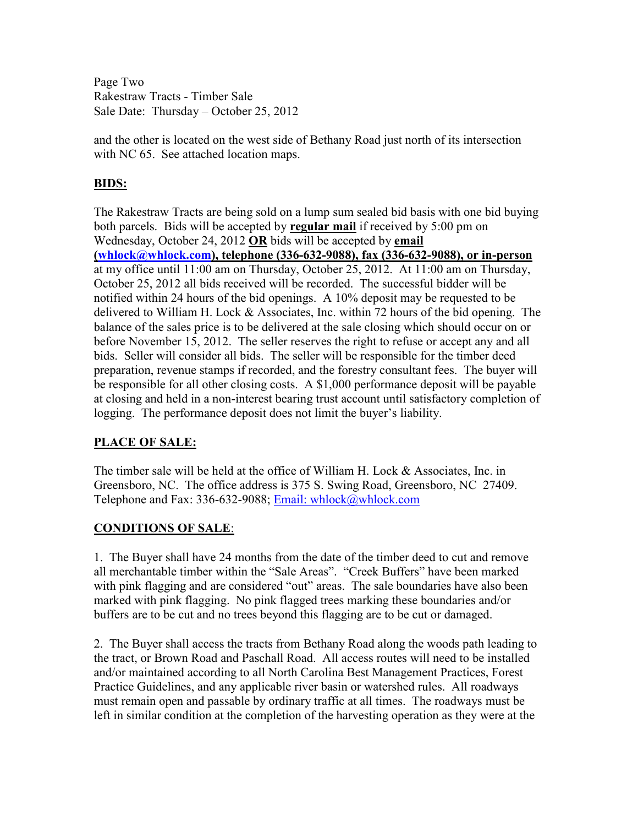Page Two Rakestraw Tracts - Timber Sale Sale Date: Thursday – October 25, 2012

and the other is located on the west side of Bethany Road just north of its intersection with NC 65. See attached location maps.

# **BIDS:**

The Rakestraw Tracts are being sold on a lump sum sealed bid basis with one bid buying both parcels. Bids will be accepted by **regular mail** if received by 5:00 pm on Wednesday, October 24, 2012 **OR** bids will be accepted by **email (whlock@whlock.com), telephone (336-632-9088), fax (336-632-9088), or in-person** at my office until 11:00 am on Thursday, October 25, 2012. At 11:00 am on Thursday, October 25, 2012 all bids received will be recorded. The successful bidder will be notified within 24 hours of the bid openings. A 10% deposit may be requested to be delivered to William H. Lock & Associates, Inc. within 72 hours of the bid opening. The balance of the sales price is to be delivered at the sale closing which should occur on or before November 15, 2012. The seller reserves the right to refuse or accept any and all bids. Seller will consider all bids. The seller will be responsible for the timber deed preparation, revenue stamps if recorded, and the forestry consultant fees. The buyer will be responsible for all other closing costs. A \$1,000 performance deposit will be payable at closing and held in a non-interest bearing trust account until satisfactory completion of logging. The performance deposit does not limit the buyer's liability.

## **PLACE OF SALE:**

The timber sale will be held at the office of William H. Lock & Associates, Inc. in Greensboro, NC. The office address is 375 S. Swing Road, Greensboro, NC 27409. Telephone and Fax: 336-632-9088; Email: whlock@whlock.com

## **CONDITIONS OF SALE**:

1. The Buyer shall have 24 months from the date of the timber deed to cut and remove all merchantable timber within the "Sale Areas". "Creek Buffers" have been marked with pink flagging and are considered "out" areas. The sale boundaries have also been marked with pink flagging. No pink flagged trees marking these boundaries and/or buffers are to be cut and no trees beyond this flagging are to be cut or damaged.

2. The Buyer shall access the tracts from Bethany Road along the woods path leading to the tract, or Brown Road and Paschall Road. All access routes will need to be installed and/or maintained according to all North Carolina Best Management Practices, Forest Practice Guidelines, and any applicable river basin or watershed rules. All roadways must remain open and passable by ordinary traffic at all times. The roadways must be left in similar condition at the completion of the harvesting operation as they were at the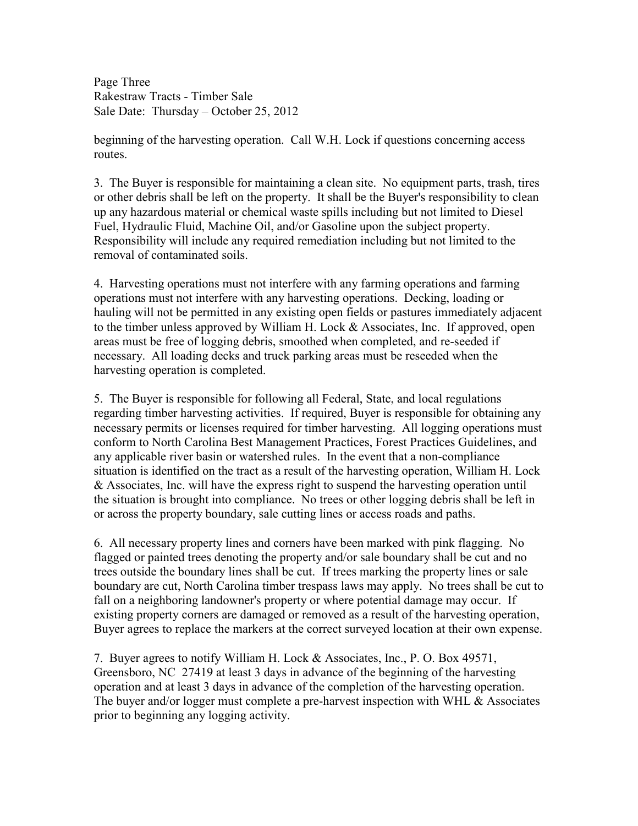Page Three Rakestraw Tracts - Timber Sale Sale Date: Thursday – October 25, 2012

beginning of the harvesting operation. Call W.H. Lock if questions concerning access routes.

3. The Buyer is responsible for maintaining a clean site. No equipment parts, trash, tires or other debris shall be left on the property. It shall be the Buyer's responsibility to clean up any hazardous material or chemical waste spills including but not limited to Diesel Fuel, Hydraulic Fluid, Machine Oil, and/or Gasoline upon the subject property. Responsibility will include any required remediation including but not limited to the removal of contaminated soils.

4. Harvesting operations must not interfere with any farming operations and farming operations must not interfere with any harvesting operations. Decking, loading or hauling will not be permitted in any existing open fields or pastures immediately adjacent to the timber unless approved by William H. Lock & Associates, Inc. If approved, open areas must be free of logging debris, smoothed when completed, and re-seeded if necessary. All loading decks and truck parking areas must be reseeded when the harvesting operation is completed.

5. The Buyer is responsible for following all Federal, State, and local regulations regarding timber harvesting activities. If required, Buyer is responsible for obtaining any necessary permits or licenses required for timber harvesting. All logging operations must conform to North Carolina Best Management Practices, Forest Practices Guidelines, and any applicable river basin or watershed rules. In the event that a non-compliance situation is identified on the tract as a result of the harvesting operation, William H. Lock & Associates, Inc. will have the express right to suspend the harvesting operation until the situation is brought into compliance. No trees or other logging debris shall be left in or across the property boundary, sale cutting lines or access roads and paths.

6. All necessary property lines and corners have been marked with pink flagging. No flagged or painted trees denoting the property and/or sale boundary shall be cut and no trees outside the boundary lines shall be cut. If trees marking the property lines or sale boundary are cut, North Carolina timber trespass laws may apply. No trees shall be cut to fall on a neighboring landowner's property or where potential damage may occur. If existing property corners are damaged or removed as a result of the harvesting operation, Buyer agrees to replace the markers at the correct surveyed location at their own expense.

7. Buyer agrees to notify William H. Lock & Associates, Inc., P. O. Box 49571, Greensboro, NC 27419 at least 3 days in advance of the beginning of the harvesting operation and at least 3 days in advance of the completion of the harvesting operation. The buyer and/or logger must complete a pre-harvest inspection with WHL & Associates prior to beginning any logging activity.